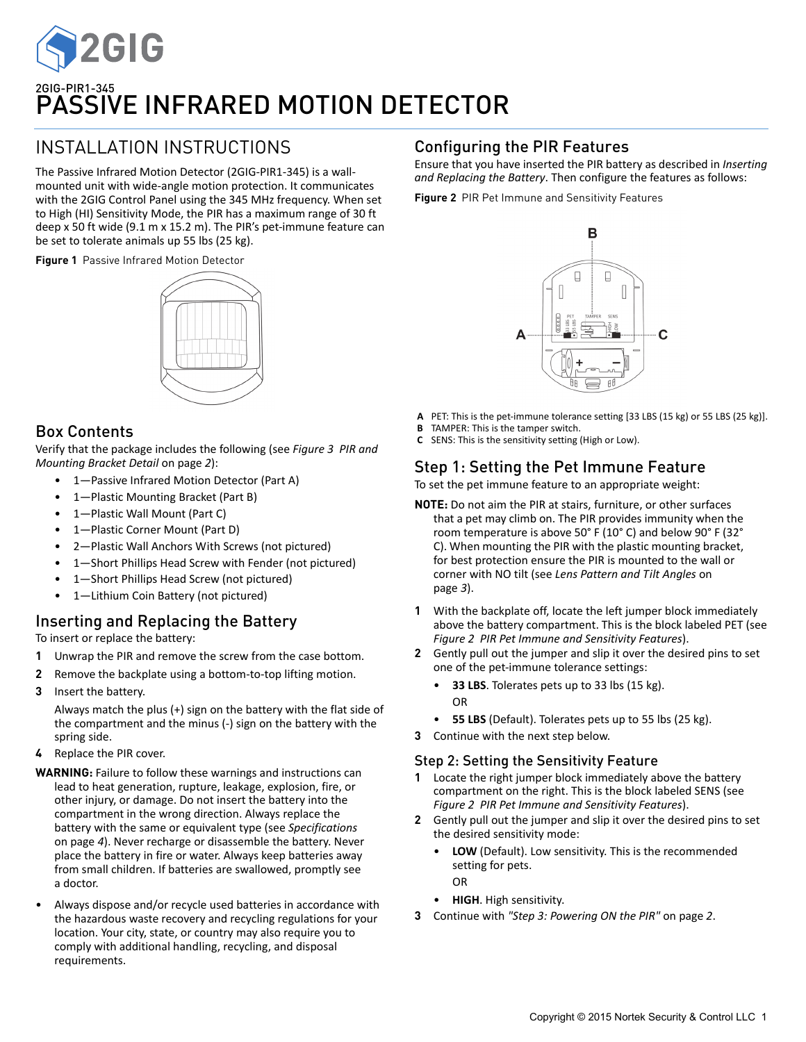

# INSTALLATION INSTRUCTIONS

The Passive Infrared Motion Detector (2GIG‐PIR1‐345) is a wall‐ mounted unit with wide‐angle motion protection. It communicates with the 2GIG Control Panel using the 345 MHz frequency. When set to High (HI) Sensitivity Mode, the PIR has a maximum range of 30 ft deep x 50 ft wide (9.1 m x 15.2 m). The PIR's pet‐immune feature can be set to tolerate animals up 55 lbs (25 kg).

**Figure 1** Passive Infrared Motion Detector



## Box Contents

Verify that the package includes the following (see *Figure 3 PIR and Mounting Bracket Detail* on page *2*):

- 1-Passive Infrared Motion Detector (Part A)
- 1—Plastic Mounting Bracket (Part B)
- 1—Plastic Wall Mount (Part C)
- 1—Plastic Corner Mount (Part D)
- 2—Plastic Wall Anchors With Screws (not pictured)
- 1-Short Phillips Head Screw with Fender (not pictured)
- 1—Short Phillips Head Screw (not pictured)
- 1—Lithium Coin Battery (not pictured)

# Inserting and Replacing the Battery

To insert or replace the battery:

- **1** Unwrap the PIR and remove the screw from the case bottom.
- **2** Remove the backplate using a bottom‐to‐top lifting motion.
- **3** Insert the battery.

Always match the plus (+) sign on the battery with the flat side of the compartment and the minus (‐) sign on the battery with the spring side.

- **4** Replace the PIR cover.
- **WARNING:** Failure to follow these warnings and instructions can lead to heat generation, rupture, leakage, explosion, fire, or other injury, or damage. Do not insert the battery into the compartment in the wrong direction. Always replace the battery with the same or equivalent type (see *Specifications* on page *4*). Never recharge or disassemble the battery. Never place the battery in fire or water. Always keep batteries away from small children. If batteries are swallowed, promptly see a doctor.
- Always dispose and/or recycle used batteries in accordance with the hazardous waste recovery and recycling regulations for your location. Your city, state, or country may also require you to comply with additional handling, recycling, and disposal requirements.

## Configuring the PIR Features

Ensure that you have inserted the PIR battery as described in *Inserting and Replacing the Battery*. Then configure the features as follows:

**Figure 2** PIR Pet Immune and Sensitivity Features



- **A** PET: This is the pet‐immune tolerance setting [33 LBS (15 kg) or 55 LBS (25 kg)].
- **B** TAMPER: This is the tamper switch.
- **C** SENS: This is the sensitivity setting (High or Low).

## Step 1: Setting the Pet Immune Feature

To set the pet immune feature to an appropriate weight:

- **NOTE:** Do not aim the PIR at stairs, furniture, or other surfaces that a pet may climb on. The PIR provides immunity when the room temperature is above 50° F (10° C) and below 90° F (32° C). When mounting the PIR with the plastic mounting bracket, for best protection ensure the PIR is mounted to the wall or corner with NO tilt (see *Lens Pattern and Tilt Angles* on page *3*).
- **1** With the backplate off, locate the left jumper block immediately above the battery compartment. This is the block labeled PET (see *Figure 2 PIR Pet Immune and Sensitivity Features*).
- **2** Gently pull out the jumper and slip it over the desired pins to set one of the pet‐immune tolerance settings:
	- **33 LBS**. Tolerates pets up to 33 lbs (15 kg). OR
	- **55 LBS** (Default). Tolerates pets up to 55 lbs (25 kg).
- **3** Continue with the next step below.

### Step 2: Setting the Sensitivity Feature

- **1** Locate the right jumper block immediately above the battery compartment on the right. This is the block labeled SENS (see *Figure 2 PIR Pet Immune and Sensitivity Features*).
- **2** Gently pull out the jumper and slip it over the desired pins to set the desired sensitivity mode:
	- **LOW** (Default). Low sensitivity. This is the recommended setting for pets. OR
	- **HIGH**. High sensitivity.
- **3** Continue with *"Step 3: Powering ON the PIR"* on page *2*.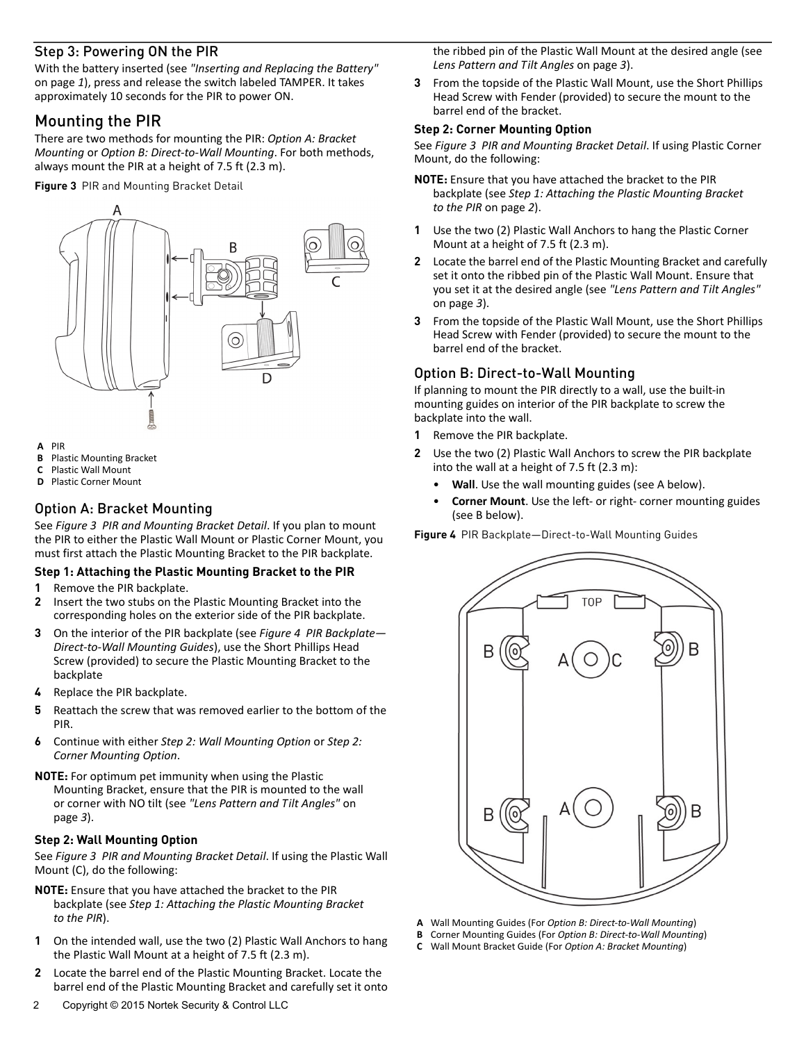## Step 3: Powering ON the PIR

With the battery inserted (see *"Inserting and Replacing the Battery"* on page *1*), press and release the switch labeled TAMPER. It takes approximately 10 seconds for the PIR to power ON.

## Mounting the PIR

There are two methods for mounting the PIR: *Option A: Bracket Mounting* or *Option B: Direct‐to‐Wall Mounting*. For both methods, always mount the PIR at a height of 7.5 ft (2.3 m).

**Figure 3** PIR and Mounting Bracket Detail



- **A** PIR
- **B** Plastic Mounting Bracket
- **C** Plastic Wall Mount
- **D** Plastic Corner Mount

## Option A: Bracket Mounting

See *Figure 3 PIR and Mounting Bracket Detail*. If you plan to mount the PIR to either the Plastic Wall Mount or Plastic Corner Mount, you must first attach the Plastic Mounting Bracket to the PIR backplate.

### **Step 1: Attaching the Plastic Mounting Bracket to the PIR**

- **1** Remove the PIR backplate.
- **2** Insert the two stubs on the Plastic Mounting Bracket into the corresponding holes on the exterior side of the PIR backplate.
- **3** On the interior of the PIR backplate (see *Figure 4 PIR Backplate— Direct‐to‐Wall Mounting Guides*), use the Short Phillips Head Screw (provided) to secure the Plastic Mounting Bracket to the backplate
- **4** Replace the PIR backplate.
- **5** Reattach the screw that was removed earlier to the bottom of the PIR.
- **6** Continue with either *Step 2: Wall Mounting Option* or *Step 2: Corner Mounting Option*.

**NOTE:** For optimum pet immunity when using the Plastic Mounting Bracket, ensure that the PIR is mounted to the wall or corner with NO tilt (see *"Lens Pattern and Tilt Angles"* on page *3*).

### **Step 2: Wall Mounting Option**

See *Figure 3 PIR and Mounting Bracket Detail*. If using the Plastic Wall Mount (C), do the following:

- **NOTE:** Ensure that you have attached the bracket to the PIR backplate (see *Step 1: Attaching the Plastic Mounting Bracket to the PIR*).
- **1** On the intended wall, use the two (2) Plastic Wall Anchors to hang the Plastic Wall Mount at a height of 7.5 ft (2.3 m).
- **2** Locate the barrel end of the Plastic Mounting Bracket. Locate the barrel end of the Plastic Mounting Bracket and carefully set it onto

the ribbed pin of the Plastic Wall Mount at the desired angle (see *Lens Pattern and Tilt Angles* on page *3*).

**3** From the topside of the Plastic Wall Mount, use the Short Phillips Head Screw with Fender (provided) to secure the mount to the barrel end of the bracket.

#### **Step 2: Corner Mounting Option**

See *Figure 3 PIR and Mounting Bracket Detail*. If using Plastic Corner Mount, do the following:

- **NOTE:** Ensure that you have attached the bracket to the PIR backplate (see *Step 1: Attaching the Plastic Mounting Bracket to the PIR* on page *2*).
- **1** Use the two (2) Plastic Wall Anchors to hang the Plastic Corner Mount at a height of 7.5 ft (2.3 m).
- **2** Locate the barrel end of the Plastic Mounting Bracket and carefully set it onto the ribbed pin of the Plastic Wall Mount. Ensure that you set it at the desired angle (see *"Lens Pattern and Tilt Angles"* on page *3*).
- **3** From the topside of the Plastic Wall Mount, use the Short Phillips Head Screw with Fender (provided) to secure the mount to the barrel end of the bracket.

### Option B: Direct-to-Wall Mounting

If planning to mount the PIR directly to a wall, use the built‐in mounting guides on interior of the PIR backplate to screw the backplate into the wall.

- **1** Remove the PIR backplate.
- **2** Use the two (2) Plastic Wall Anchors to screw the PIR backplate into the wall at a height of 7.5 ft (2.3 m):
	- **Wall**. Use the wall mounting guides (see A below).
	- **Corner Mount**. Use the left‐ or right‐ corner mounting guides (see B below).

**Figure 4** PIR Backplate—Direct-to-Wall Mounting Guides



- **A** Wall Mounting Guides (For *Option B: Direct‐to‐Wall Mounting*)
- **B** Corner Mounting Guides (For *Option B: Direct‐to‐Wall Mounting*)
- **C** Wall Mount Bracket Guide (For *Option A: Bracket Mounting*)

2 Copyright © 2015 Nortek Security & Control LLC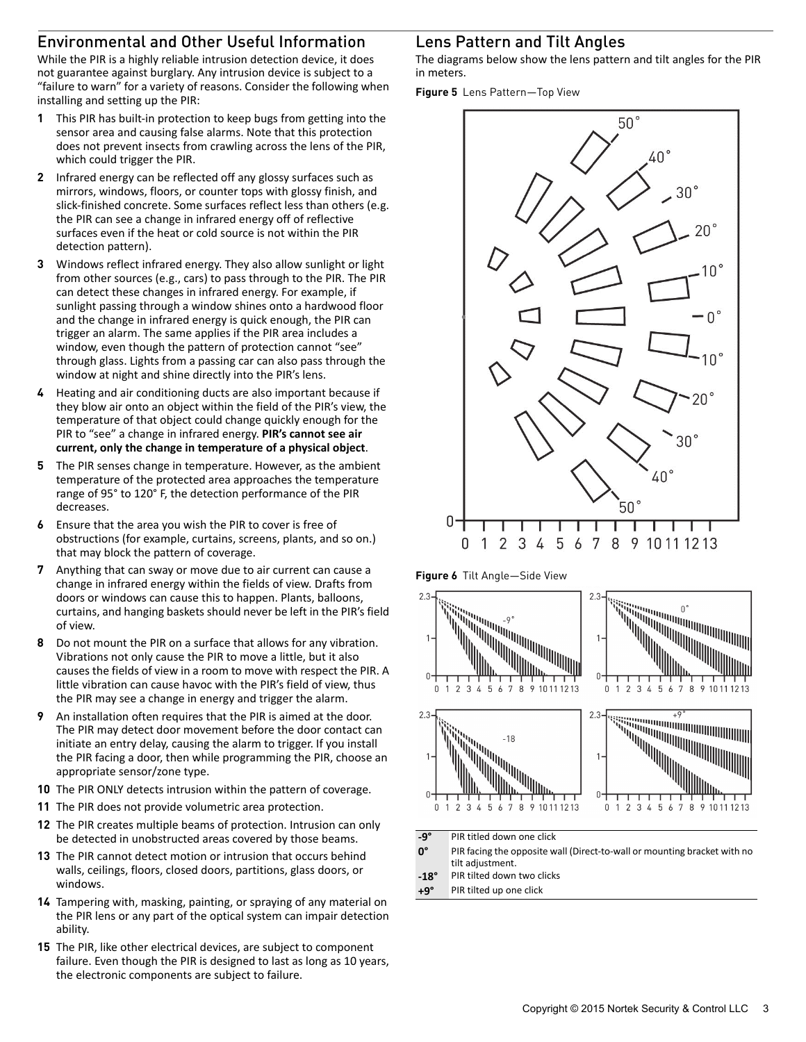# Environmental and Other Useful Information

While the PIR is a highly reliable intrusion detection device, it does not guarantee against burglary. Any intrusion device is subject to a "failure to warn" for a variety of reasons. Consider the following when installing and setting up the PIR:

- **1** This PIR has built‐in protection to keep bugs from getting into the sensor area and causing false alarms. Note that this protection does not prevent insects from crawling across the lens of the PIR, which could trigger the PIR.
- **2** Infrared energy can be reflected off any glossy surfaces such as mirrors, windows, floors, or counter tops with glossy finish, and slick‐finished concrete. Some surfaces reflect less than others (e.g. the PIR can see a change in infrared energy off of reflective surfaces even if the heat or cold source is not within the PIR detection pattern).
- **3** Windows reflect infrared energy. They also allow sunlight or light from other sources (e.g., cars) to pass through to the PIR. The PIR can detect these changes in infrared energy. For example, if sunlight passing through a window shines onto a hardwood floor and the change in infrared energy is quick enough, the PIR can trigger an alarm. The same applies if the PIR area includes a window, even though the pattern of protection cannot "see" through glass. Lights from a passing car can also pass through the window at night and shine directly into the PIR's lens.
- **4** Heating and air conditioning ducts are also important because if they blow air onto an object within the field of the PIR's view, the temperature of that object could change quickly enough for the PIR to "see" a change in infrared energy. **PIR's cannot see air current, only the change in temperature of a physical object**.
- **5** The PIR senses change in temperature. However, as the ambient temperature of the protected area approaches the temperature range of 95° to 120° F, the detection performance of the PIR decreases.
- **6** Ensure that the area you wish the PIR to cover is free of obstructions (for example, curtains, screens, plants, and so on.) that may block the pattern of coverage.
- **7** Anything that can sway or move due to air current can cause a change in infrared energy within the fields of view. Drafts from doors or windows can cause this to happen. Plants, balloons, curtains, and hanging baskets should never be left in the PIR's field of view.
- **8** Do not mount the PIR on a surface that allows for any vibration. Vibrations not only cause the PIR to move a little, but it also causes the fields of view in a room to move with respect the PIR. A little vibration can cause havoc with the PIR's field of view, thus the PIR may see a change in energy and trigger the alarm.
- **9** An installation often requires that the PIR is aimed at the door. The PIR may detect door movement before the door contact can initiate an entry delay, causing the alarm to trigger. If you install the PIR facing a door, then while programming the PIR, choose an appropriate sensor/zone type.
- **10** The PIR ONLY detects intrusion within the pattern of coverage.
- **11** The PIR does not provide volumetric area protection.
- **12** The PIR creates multiple beams of protection. Intrusion can only be detected in unobstructed areas covered by those beams.
- **13** The PIR cannot detect motion or intrusion that occurs behind walls, ceilings, floors, closed doors, partitions, glass doors, or windows.
- **14** Tampering with, masking, painting, or spraying of any material on the PIR lens or any part of the optical system can impair detection ability.
- **15** The PIR, like other electrical devices, are subject to component failure. Even though the PIR is designed to last as long as 10 years, the electronic components are subject to failure.

## Lens Pattern and Tilt Angles

The diagrams below show the lens pattern and tilt angles for the PIR in meters.

**Figure 5** Lens Pattern—Top View



**Figure 6** Tilt Angle—Side View



**‐9°** PIR titled down one click

**0°** PIR facing the opposite wall (Direct‐to‐wall or mounting bracket with no tilt adjustment.

- **‐18°** PIR tilted down two clicks
- **+9°** PIR tilted up one click